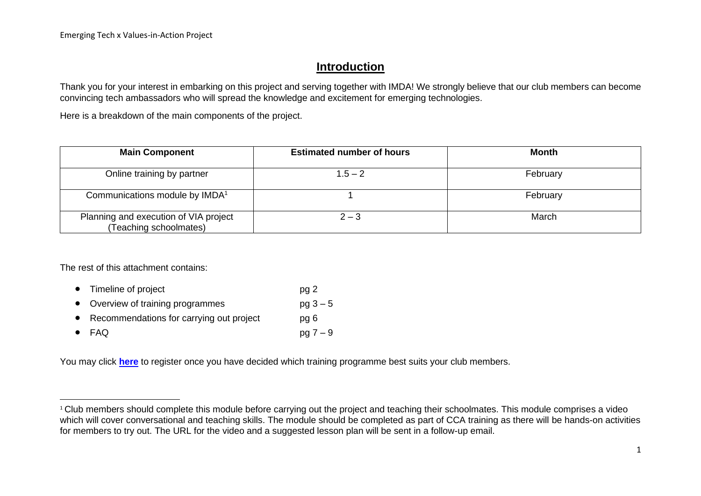## **Introduction**

Thank you for your interest in embarking on this project and serving together with IMDA! We strongly believe that our club members can become convincing tech ambassadors who will spread the knowledge and excitement for emerging technologies.

Here is a breakdown of the main components of the project.

| <b>Main Component</b>                                           | <b>Estimated number of hours</b> | <b>Month</b> |
|-----------------------------------------------------------------|----------------------------------|--------------|
| Online training by partner                                      | $1.5 - 2$                        | February     |
| Communications module by IMDA <sup>1</sup>                      |                                  | February     |
| Planning and execution of VIA project<br>(Teaching schoolmates) | $2 - 3$                          | March        |

The rest of this attachment contains:

- Timeline of project pg 2 • Overview of training programmes  $pq 3 - 5$
- Recommendations for carrying out project pg 6
- FAQ  $pq 7 9$

You may click **[here](https://form.gov.sg/#!/61c41737ef72800012a47858)** to register once you have decided which training programme best suits your club members.

 $1$  Club members should complete this module before carrying out the project and teaching their schoolmates. This module comprises a video which will cover conversational and teaching skills. The module should be completed as part of CCA training as there will be hands-on activities for members to try out. The URL for the video and a suggested lesson plan will be sent in a follow-up email.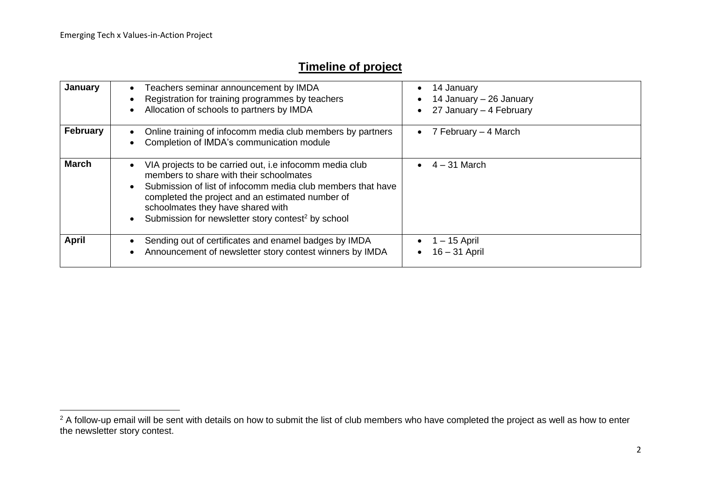# **Timeline of project**

| January         | Teachers seminar announcement by IMDA<br>$\bullet$<br>Registration for training programmes by teachers<br>Allocation of schools to partners by IMDA<br>$\bullet$                                                                                                                                                                                                    | 14 January<br>$\bullet$<br>14 January – 26 January<br>27 January - 4 February<br>$\bullet$ |
|-----------------|---------------------------------------------------------------------------------------------------------------------------------------------------------------------------------------------------------------------------------------------------------------------------------------------------------------------------------------------------------------------|--------------------------------------------------------------------------------------------|
| <b>February</b> | Online training of infocomm media club members by partners<br>$\bullet$<br>Completion of IMDA's communication module                                                                                                                                                                                                                                                | 7 February – 4 March<br>$\bullet$                                                          |
| <b>March</b>    | VIA projects to be carried out, i.e infocomm media club<br>$\bullet$<br>members to share with their schoolmates<br>Submission of list of infocomm media club members that have<br>$\bullet$<br>completed the project and an estimated number of<br>schoolmates they have shared with<br>Submission for newsletter story contest <sup>2</sup> by school<br>$\bullet$ | $4 - 31$ March                                                                             |
| <b>April</b>    | Sending out of certificates and enamel badges by IMDA<br>$\bullet$<br>Announcement of newsletter story contest winners by IMDA<br>$\bullet$                                                                                                                                                                                                                         | $-15$ April<br>$16 - 31$ April<br>$\bullet$                                                |

<sup>&</sup>lt;sup>2</sup> A follow-up email will be sent with details on how to submit the list of club members who have completed the project as well as how to enter the newsletter story contest.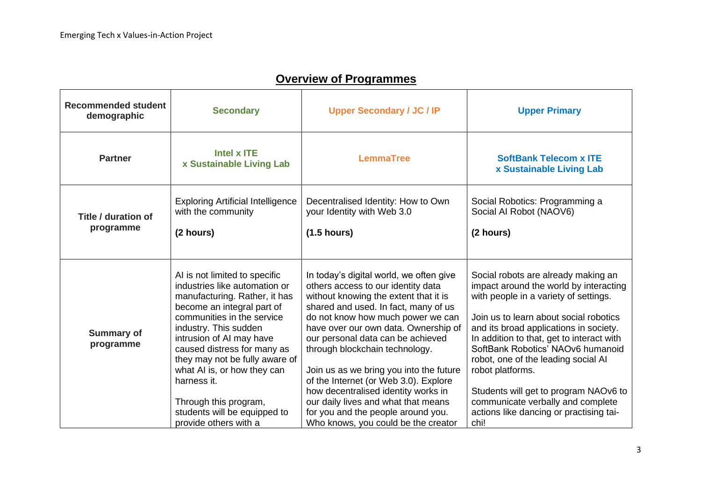| <b>Recommended student</b><br>demographic | <b>Secondary</b>                                                                                                                                                                                                                                                                                                                                                                                                  | <b>Upper Secondary / JC / IP</b>                                                                                                                                                                                                                                                                                                                                                                                                                                                                                                                                  | <b>Upper Primary</b>                                                                                                                                                                                                                                                                                                                                                                                                                                                                     |
|-------------------------------------------|-------------------------------------------------------------------------------------------------------------------------------------------------------------------------------------------------------------------------------------------------------------------------------------------------------------------------------------------------------------------------------------------------------------------|-------------------------------------------------------------------------------------------------------------------------------------------------------------------------------------------------------------------------------------------------------------------------------------------------------------------------------------------------------------------------------------------------------------------------------------------------------------------------------------------------------------------------------------------------------------------|------------------------------------------------------------------------------------------------------------------------------------------------------------------------------------------------------------------------------------------------------------------------------------------------------------------------------------------------------------------------------------------------------------------------------------------------------------------------------------------|
| <b>Partner</b>                            | Intel x ITE<br>x Sustainable Living Lab                                                                                                                                                                                                                                                                                                                                                                           | <b>LemmaTree</b>                                                                                                                                                                                                                                                                                                                                                                                                                                                                                                                                                  | <b>SoftBank Telecom x ITE</b><br>x Sustainable Living Lab                                                                                                                                                                                                                                                                                                                                                                                                                                |
| Title / duration of<br>programme          | <b>Exploring Artificial Intelligence</b><br>with the community<br>(2 hours)                                                                                                                                                                                                                                                                                                                                       | Decentralised Identity: How to Own<br>your Identity with Web 3.0<br>$(1.5$ hours)                                                                                                                                                                                                                                                                                                                                                                                                                                                                                 | Social Robotics: Programming a<br>Social Al Robot (NAOV6)<br>(2 hours)                                                                                                                                                                                                                                                                                                                                                                                                                   |
| <b>Summary of</b><br>programme            | AI is not limited to specific<br>industries like automation or<br>manufacturing. Rather, it has<br>become an integral part of<br>communities in the service<br>industry. This sudden<br>intrusion of AI may have<br>caused distress for many as<br>they may not be fully aware of<br>what AI is, or how they can<br>harness it.<br>Through this program,<br>students will be equipped to<br>provide others with a | In today's digital world, we often give<br>others access to our identity data<br>without knowing the extent that it is<br>shared and used. In fact, many of us<br>do not know how much power we can<br>have over our own data. Ownership of<br>our personal data can be achieved<br>through blockchain technology.<br>Join us as we bring you into the future<br>of the Internet (or Web 3.0). Explore<br>how decentralised identity works in<br>our daily lives and what that means<br>for you and the people around you.<br>Who knows, you could be the creator | Social robots are already making an<br>impact around the world by interacting<br>with people in a variety of settings.<br>Join us to learn about social robotics<br>and its broad applications in society.<br>In addition to that, get to interact with<br>SoftBank Robotics' NAOv6 humanoid<br>robot, one of the leading social AI<br>robot platforms.<br>Students will get to program NAOv6 to<br>communicate verbally and complete<br>actions like dancing or practising tai-<br>chi! |

# **Overview of Programmes**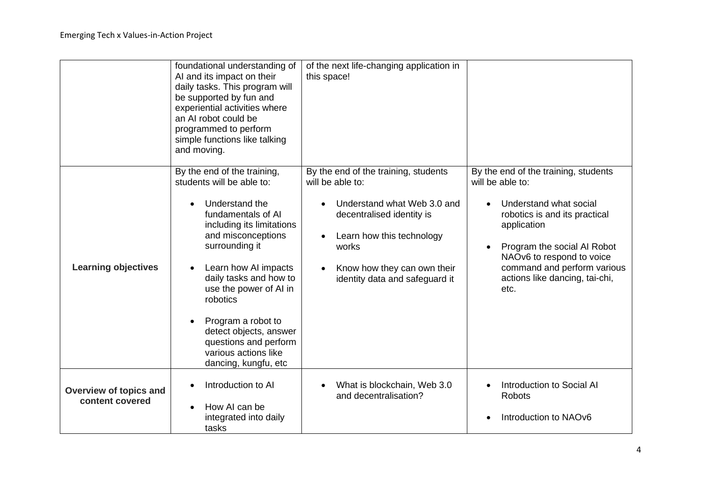|                                                  | foundational understanding of<br>AI and its impact on their<br>daily tasks. This program will<br>be supported by fun and<br>experiential activities where<br>an AI robot could be<br>programmed to perform<br>simple functions like talking<br>and moving.                                                                                                                             | of the next life-changing application in<br>this space!                                                                                                                                                                     |                                                                                                                                                                                                                                                                         |
|--------------------------------------------------|----------------------------------------------------------------------------------------------------------------------------------------------------------------------------------------------------------------------------------------------------------------------------------------------------------------------------------------------------------------------------------------|-----------------------------------------------------------------------------------------------------------------------------------------------------------------------------------------------------------------------------|-------------------------------------------------------------------------------------------------------------------------------------------------------------------------------------------------------------------------------------------------------------------------|
| <b>Learning objectives</b>                       | By the end of the training,<br>students will be able to:<br>Understand the<br>fundamentals of AI<br>including its limitations<br>and misconceptions<br>surrounding it<br>Learn how AI impacts<br>daily tasks and how to<br>use the power of AI in<br>robotics<br>Program a robot to<br>detect objects, answer<br>questions and perform<br>various actions like<br>dancing, kungfu, etc | By the end of the training, students<br>will be able to:<br>Understand what Web 3.0 and<br>decentralised identity is<br>Learn how this technology<br>works<br>Know how they can own their<br>identity data and safeguard it | By the end of the training, students<br>will be able to:<br>Understand what social<br>robotics is and its practical<br>application<br>Program the social AI Robot<br>NAOv6 to respond to voice<br>command and perform various<br>actions like dancing, tai-chi,<br>etc. |
| <b>Overview of topics and</b><br>content covered | Introduction to AI<br>How AI can be<br>integrated into daily<br>tasks                                                                                                                                                                                                                                                                                                                  | What is blockchain, Web 3.0<br>and decentralisation?                                                                                                                                                                        | Introduction to Social AI<br><b>Robots</b><br>Introduction to NAOv6                                                                                                                                                                                                     |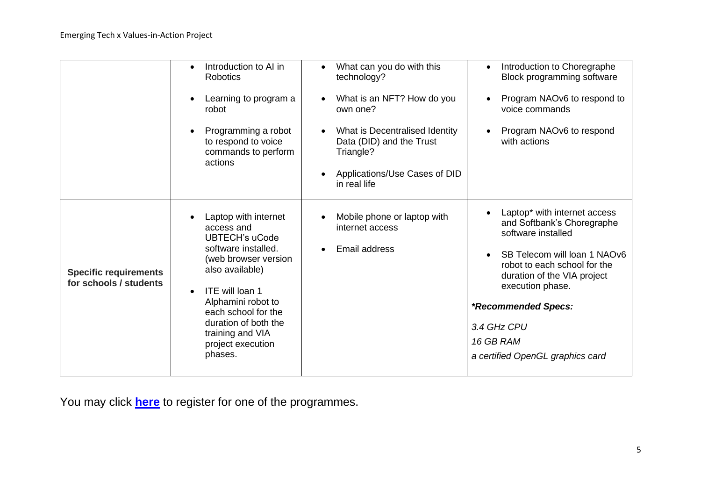|                                                        | Introduction to AI in<br><b>Robotics</b>                                                                                                                                                                                                                                    | What can you do with this<br>technology?                                             | Introduction to Choregraphe<br>$\bullet$<br>Block programming software                                          |
|--------------------------------------------------------|-----------------------------------------------------------------------------------------------------------------------------------------------------------------------------------------------------------------------------------------------------------------------------|--------------------------------------------------------------------------------------|-----------------------------------------------------------------------------------------------------------------|
|                                                        | Learning to program a<br>robot                                                                                                                                                                                                                                              | What is an NFT? How do you<br>own one?                                               | Program NAOv6 to respond to<br>voice commands                                                                   |
|                                                        | Programming a robot<br>to respond to voice<br>commands to perform<br>actions                                                                                                                                                                                                | What is Decentralised Identity<br>$\bullet$<br>Data (DID) and the Trust<br>Triangle? | Program NAOv6 to respond<br>with actions                                                                        |
|                                                        |                                                                                                                                                                                                                                                                             | Applications/Use Cases of DID<br>$\bullet$<br>in real life                           |                                                                                                                 |
| <b>Specific requirements</b><br>for schools / students | Laptop with internet<br>access and<br><b>UBTECH's uCode</b><br>software installed.<br>(web browser version<br>also available)<br>ITE will loan 1<br>$\bullet$<br>Alphamini robot to<br>each school for the<br>duration of both the<br>training and VIA<br>project execution | Mobile phone or laptop with<br>$\bullet$<br>internet access                          | Laptop* with internet access<br>and Softbank's Choregraphe<br>software installed                                |
|                                                        |                                                                                                                                                                                                                                                                             | Email address<br>$\bullet$                                                           | SB Telecom will loan 1 NAOv6<br>robot to each school for the<br>duration of the VIA project<br>execution phase. |
|                                                        |                                                                                                                                                                                                                                                                             |                                                                                      | *Recommended Specs:                                                                                             |
|                                                        |                                                                                                                                                                                                                                                                             |                                                                                      | 3.4 GHz CPU                                                                                                     |
|                                                        |                                                                                                                                                                                                                                                                             |                                                                                      | 16 GB RAM                                                                                                       |
|                                                        | phases.                                                                                                                                                                                                                                                                     |                                                                                      | a certified OpenGL graphics card                                                                                |

You may click **[here](https://form.gov.sg/#!/61c41737ef72800012a47858)** to register for one of the programmes.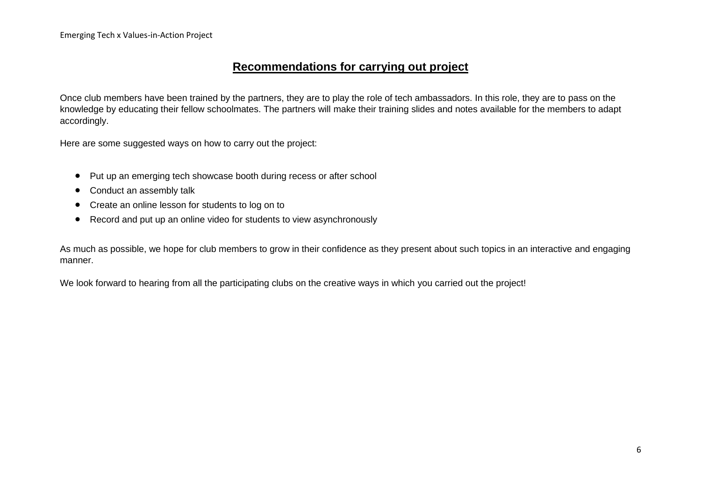### **Recommendations for carrying out project**

Once club members have been trained by the partners, they are to play the role of tech ambassadors. In this role, they are to pass on the knowledge by educating their fellow schoolmates. The partners will make their training slides and notes available for the members to adapt accordingly.

Here are some suggested ways on how to carry out the project:

- Put up an emerging tech showcase booth during recess or after school
- Conduct an assembly talk
- Create an online lesson for students to log on to
- Record and put up an online video for students to view asynchronously

As much as possible, we hope for club members to grow in their confidence as they present about such topics in an interactive and engaging manner.

We look forward to hearing from all the participating clubs on the creative ways in which you carried out the project!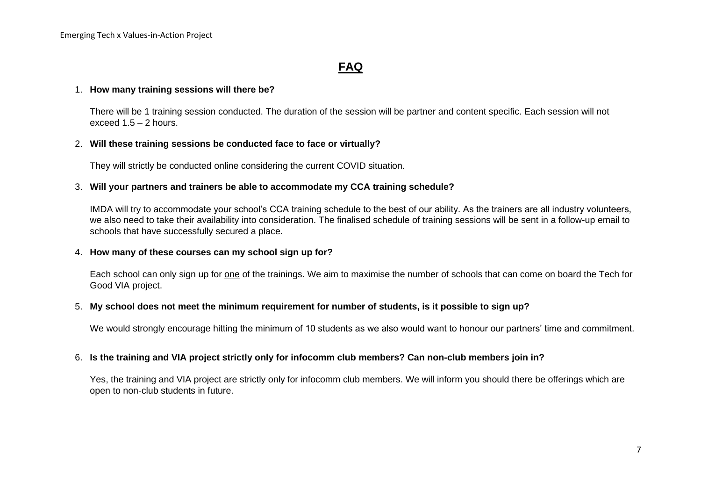## **FAQ**

#### 1. **How many training sessions will there be?**

There will be 1 training session conducted. The duration of the session will be partner and content specific. Each session will not exceed  $1.5 - 2$  hours.

#### 2. **Will these training sessions be conducted face to face or virtually?**

They will strictly be conducted online considering the current COVID situation.

#### 3. **Will your partners and trainers be able to accommodate my CCA training schedule?**

IMDA will try to accommodate your school's CCA training schedule to the best of our ability. As the trainers are all industry volunteers, we also need to take their availability into consideration. The finalised schedule of training sessions will be sent in a follow-up email to schools that have successfully secured a place.

#### 4. **How many of these courses can my school sign up for?**

Each school can only sign up for one of the trainings. We aim to maximise the number of schools that can come on board the Tech for Good VIA project.

#### 5. **My school does not meet the minimum requirement for number of students, is it possible to sign up?**

We would strongly encourage hitting the minimum of 10 students as we also would want to honour our partners' time and commitment.

#### 6. **Is the training and VIA project strictly only for infocomm club members? Can non-club members join in?**

Yes, the training and VIA project are strictly only for infocomm club members. We will inform you should there be offerings which are open to non-club students in future.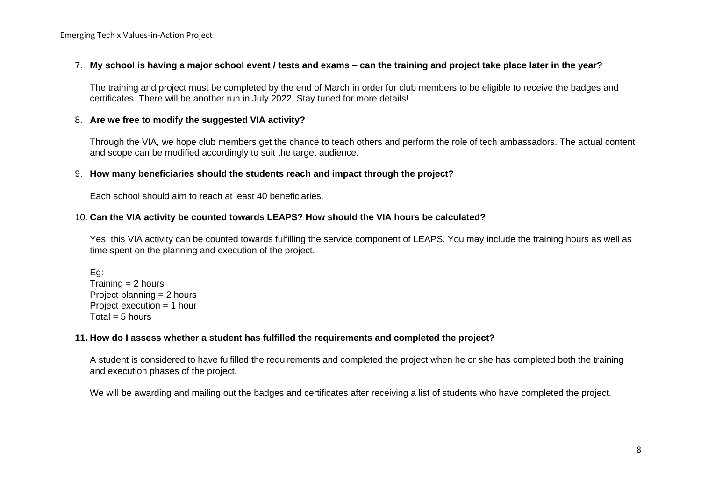#### 7. **My school is having a major school event / tests and exams – can the training and project take place later in the year?**

The training and project must be completed by the end of March in order for club members to be eligible to receive the badges and certificates. There will be another run in July 2022. Stay tuned for more details!

#### 8. **Are we free to modify the suggested VIA activity?**

Through the VIA, we hope club members get the chance to teach others and perform the role of tech ambassadors. The actual content and scope can be modified accordingly to suit the target audience.

#### 9. **How many beneficiaries should the students reach and impact through the project?**

Each school should aim to reach at least 40 beneficiaries.

#### 10. **Can the VIA activity be counted towards LEAPS? How should the VIA hours be calculated?**

Yes, this VIA activity can be counted towards fulfilling the service component of LEAPS. You may include the training hours as well as time spent on the planning and execution of the project.

Eg:  $Trainina = 2 hours$ Project planning = 2 hours Project execution = 1 hour  $Total = 5 hours$ 

#### **11. How do I assess whether a student has fulfilled the requirements and completed the project?**

A student is considered to have fulfilled the requirements and completed the project when he or she has completed both the training and execution phases of the project.

We will be awarding and mailing out the badges and certificates after receiving a list of students who have completed the project.